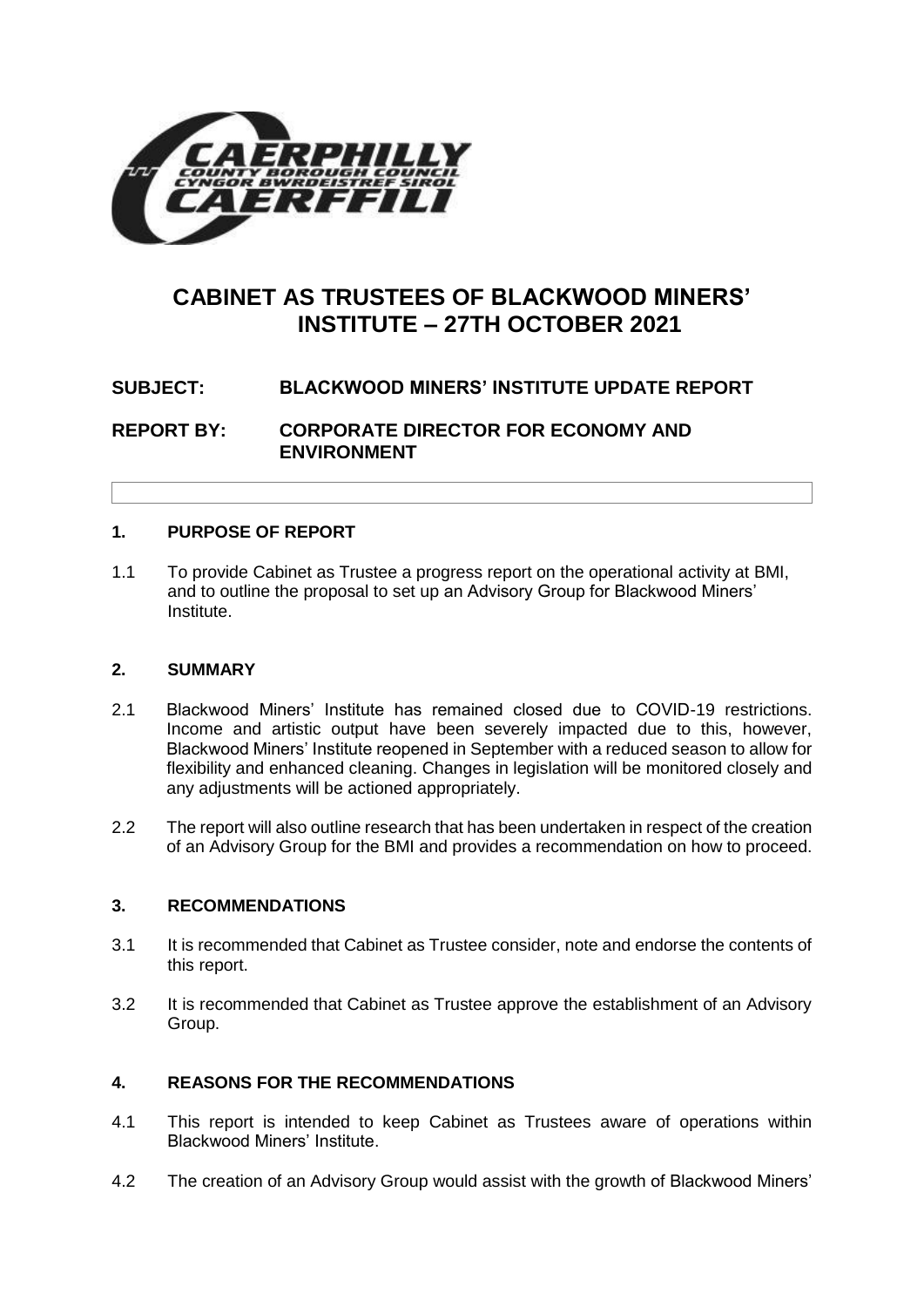

# **CABINET AS TRUSTEES OF BLACKWOOD MINERS' INSTITUTE – 27TH OCTOBER 2021**

# **SUBJECT: BLACKWOOD MINERS' INSTITUTE UPDATE REPORT**

**REPORT BY: CORPORATE DIRECTOR FOR ECONOMY AND ENVIRONMENT**

## **1. PURPOSE OF REPORT**

1.1 To provide Cabinet as Trustee a progress report on the operational activity at BMI, and to outline the proposal to set up an Advisory Group for Blackwood Miners' Institute.

#### **2. SUMMARY**

- 2.1 Blackwood Miners' Institute has remained closed due to COVID-19 restrictions. Income and artistic output have been severely impacted due to this, however, Blackwood Miners' Institute reopened in September with a reduced season to allow for flexibility and enhanced cleaning. Changes in legislation will be monitored closely and any adjustments will be actioned appropriately.
- 2.2 The report will also outline research that has been undertaken in respect of the creation of an Advisory Group for the BMI and provides a recommendation on how to proceed.

## **3. RECOMMENDATIONS**

- 3.1 It is recommended that Cabinet as Trustee consider, note and endorse the contents of this report.
- 3.2 It is recommended that Cabinet as Trustee approve the establishment of an Advisory Group.

#### **4. REASONS FOR THE RECOMMENDATIONS**

- 4.1 This report is intended to keep Cabinet as Trustees aware of operations within Blackwood Miners' Institute.
- 4.2 The creation of an Advisory Group would assist with the growth of Blackwood Miners'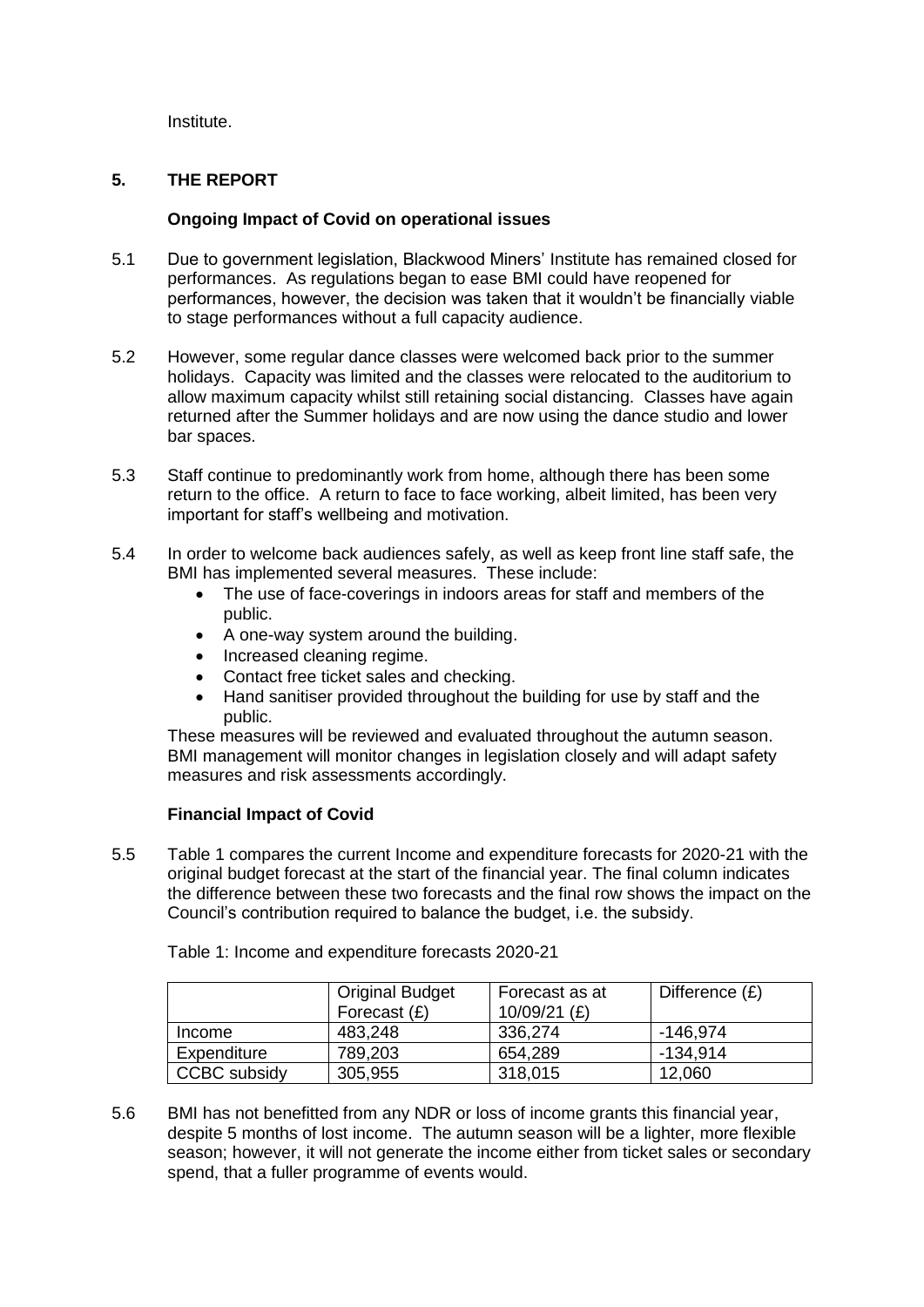Institute.

## **5. THE REPORT**

#### **Ongoing Impact of Covid on operational issues**

- 5.1 Due to government legislation, Blackwood Miners' Institute has remained closed for performances. As regulations began to ease BMI could have reopened for performances, however, the decision was taken that it wouldn't be financially viable to stage performances without a full capacity audience.
- 5.2 However, some regular dance classes were welcomed back prior to the summer holidays. Capacity was limited and the classes were relocated to the auditorium to allow maximum capacity whilst still retaining social distancing. Classes have again returned after the Summer holidays and are now using the dance studio and lower bar spaces.
- 5.3 Staff continue to predominantly work from home, although there has been some return to the office. A return to face to face working, albeit limited, has been very important for staff's wellbeing and motivation.
- 5.4 In order to welcome back audiences safely, as well as keep front line staff safe, the BMI has implemented several measures. These include:
	- The use of face-coverings in indoors areas for staff and members of the public.
	- A one-way system around the building.
	- Increased cleaning regime.
	- Contact free ticket sales and checking.
	- Hand sanitiser provided throughout the building for use by staff and the public.

These measures will be reviewed and evaluated throughout the autumn season. BMI management will monitor changes in legislation closely and will adapt safety measures and risk assessments accordingly.

#### **Financial Impact of Covid**

5.5 Table 1 compares the current Income and expenditure forecasts for 2020-21 with the original budget forecast at the start of the financial year. The final column indicates the difference between these two forecasts and the final row shows the impact on the Council's contribution required to balance the budget, i.e. the subsidy.

|              | <b>Original Budget</b><br>Forecast $(E)$ | Forecast as at<br>10/09/21 $(E)$ | Difference $(E)$ |
|--------------|------------------------------------------|----------------------------------|------------------|
| Income       | 483,248                                  | 336,274                          | -146.974         |
| Expenditure  | 789,203                                  | 654,289                          | -134.914         |
| CCBC subsidy | 305,955                                  | 318,015                          | 12,060           |

Table 1: Income and expenditure forecasts 2020-21

5.6 BMI has not benefitted from any NDR or loss of income grants this financial year, despite 5 months of lost income. The autumn season will be a lighter, more flexible season; however, it will not generate the income either from ticket sales or secondary spend, that a fuller programme of events would.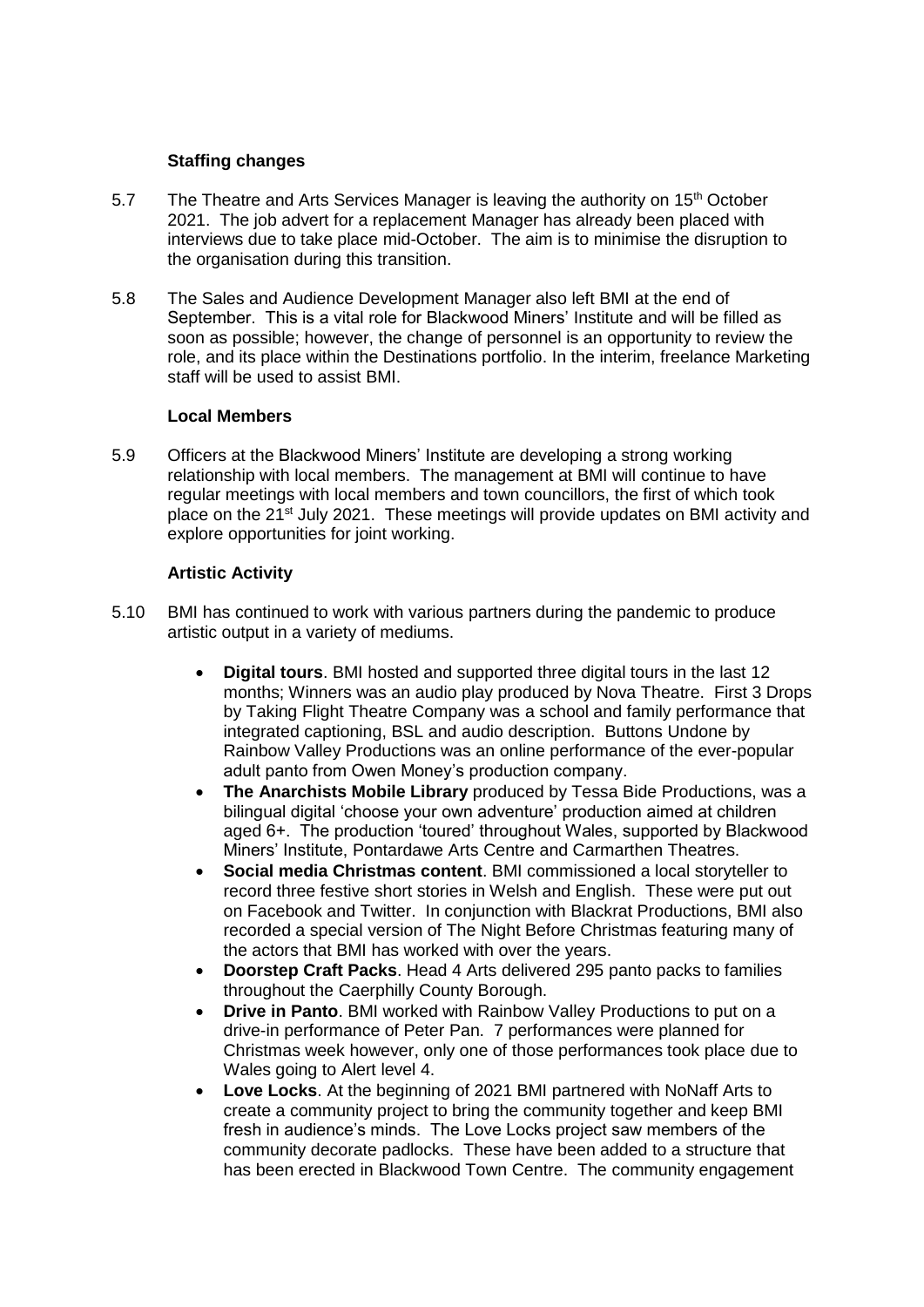#### **Staffing changes**

- 5.7 The Theatre and Arts Services Manager is leaving the authority on 15<sup>th</sup> October 2021. The job advert for a replacement Manager has already been placed with interviews due to take place mid-October. The aim is to minimise the disruption to the organisation during this transition.
- 5.8 The Sales and Audience Development Manager also left BMI at the end of September. This is a vital role for Blackwood Miners' Institute and will be filled as soon as possible; however, the change of personnel is an opportunity to review the role, and its place within the Destinations portfolio. In the interim, freelance Marketing staff will be used to assist BMI.

#### **Local Members**

5.9 Officers at the Blackwood Miners' Institute are developing a strong working relationship with local members. The management at BMI will continue to have regular meetings with local members and town councillors, the first of which took place on the 21st July 2021. These meetings will provide updates on BMI activity and explore opportunities for joint working.

## **Artistic Activity**

- 5.10 BMI has continued to work with various partners during the pandemic to produce artistic output in a variety of mediums.
	- **Digital tours**. BMI hosted and supported three digital tours in the last 12 months; Winners was an audio play produced by Nova Theatre. First 3 Drops by Taking Flight Theatre Company was a school and family performance that integrated captioning, BSL and audio description. Buttons Undone by Rainbow Valley Productions was an online performance of the ever-popular adult panto from Owen Money's production company.
	- **The Anarchists Mobile Library** produced by Tessa Bide Productions, was a bilingual digital 'choose your own adventure' production aimed at children aged 6+. The production 'toured' throughout Wales, supported by Blackwood Miners' Institute, Pontardawe Arts Centre and Carmarthen Theatres.
	- **Social media Christmas content**. BMI commissioned a local storyteller to record three festive short stories in Welsh and English. These were put out on Facebook and Twitter. In conjunction with Blackrat Productions, BMI also recorded a special version of The Night Before Christmas featuring many of the actors that BMI has worked with over the years.
	- **Doorstep Craft Packs**. Head 4 Arts delivered 295 panto packs to families throughout the Caerphilly County Borough.
	- **Drive in Panto**. BMI worked with Rainbow Valley Productions to put on a drive-in performance of Peter Pan. 7 performances were planned for Christmas week however, only one of those performances took place due to Wales going to Alert level 4.
	- **Love Locks**. At the beginning of 2021 BMI partnered with NoNaff Arts to create a community project to bring the community together and keep BMI fresh in audience's minds. The Love Locks project saw members of the community decorate padlocks. These have been added to a structure that has been erected in Blackwood Town Centre. The community engagement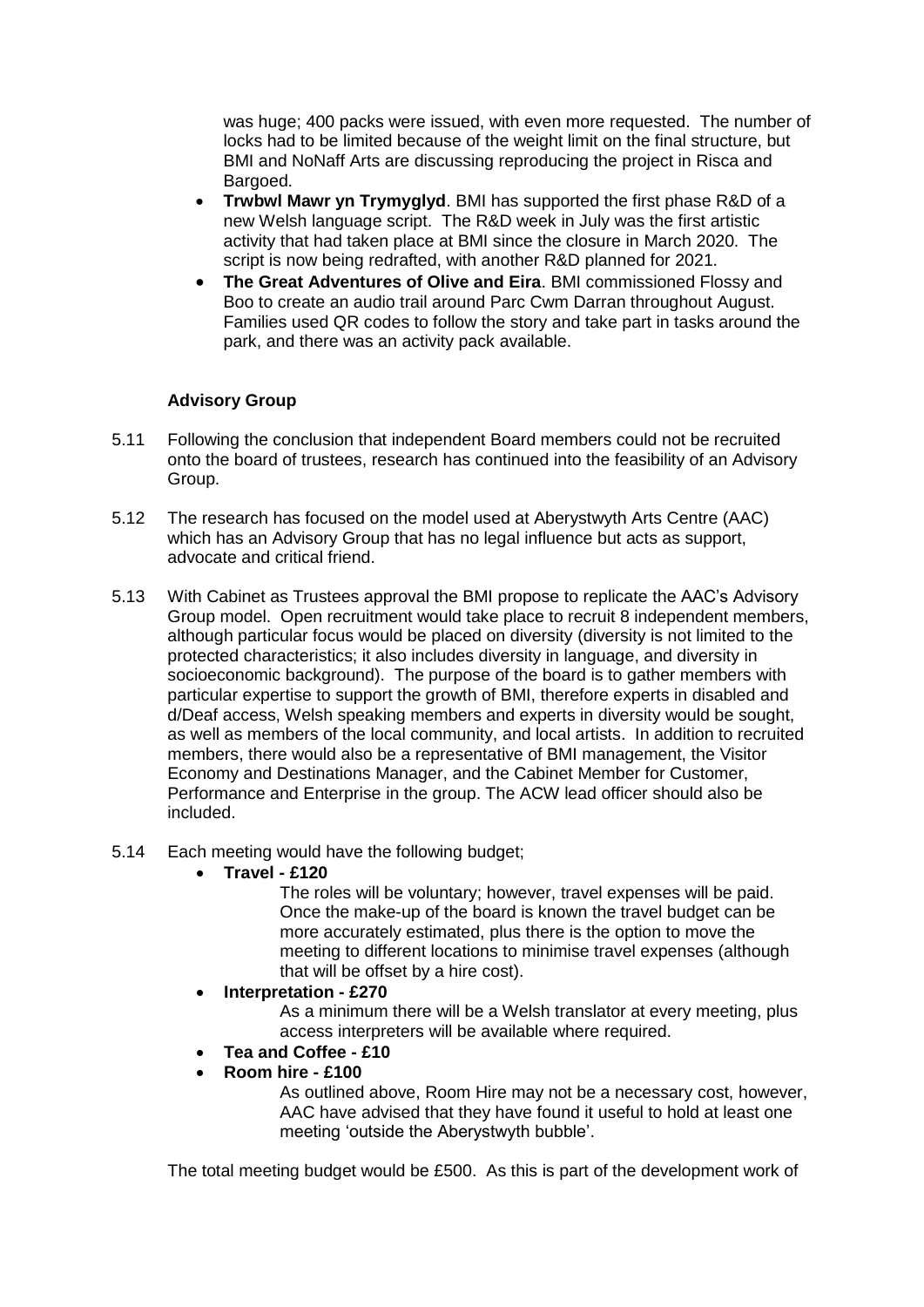was huge; 400 packs were issued, with even more requested. The number of locks had to be limited because of the weight limit on the final structure, but BMI and NoNaff Arts are discussing reproducing the project in Risca and Bargoed.

- **Trwbwl Mawr yn Trymyglyd**. BMI has supported the first phase R&D of a new Welsh language script. The R&D week in July was the first artistic activity that had taken place at BMI since the closure in March 2020. The script is now being redrafted, with another R&D planned for 2021.
- **The Great Adventures of Olive and Eira**. BMI commissioned Flossy and Boo to create an audio trail around Parc Cwm Darran throughout August. Families used QR codes to follow the story and take part in tasks around the park, and there was an activity pack available.

# **Advisory Group**

- 5.11 Following the conclusion that independent Board members could not be recruited onto the board of trustees, research has continued into the feasibility of an Advisory Group.
- 5.12 The research has focused on the model used at Aberystwyth Arts Centre (AAC) which has an Advisory Group that has no legal influence but acts as support. advocate and critical friend.
- 5.13 With Cabinet as Trustees approval the BMI propose to replicate the AAC's Advisory Group model. Open recruitment would take place to recruit 8 independent members, although particular focus would be placed on diversity (diversity is not limited to the protected characteristics; it also includes diversity in language, and diversity in socioeconomic background). The purpose of the board is to gather members with particular expertise to support the growth of BMI, therefore experts in disabled and d/Deaf access, Welsh speaking members and experts in diversity would be sought, as well as members of the local community, and local artists. In addition to recruited members, there would also be a representative of BMI management, the Visitor Economy and Destinations Manager, and the Cabinet Member for Customer, Performance and Enterprise in the group. The ACW lead officer should also be included.
- 5.14 Each meeting would have the following budget;
	- **Travel - £120**

The roles will be voluntary; however, travel expenses will be paid. Once the make-up of the board is known the travel budget can be more accurately estimated, plus there is the option to move the meeting to different locations to minimise travel expenses (although that will be offset by a hire cost).

**Interpretation - £270**

As a minimum there will be a Welsh translator at every meeting, plus access interpreters will be available where required.

- **Tea and Coffee - £10**
- **Room hire - £100**

As outlined above, Room Hire may not be a necessary cost, however, AAC have advised that they have found it useful to hold at least one meeting 'outside the Aberystwyth bubble'.

The total meeting budget would be £500. As this is part of the development work of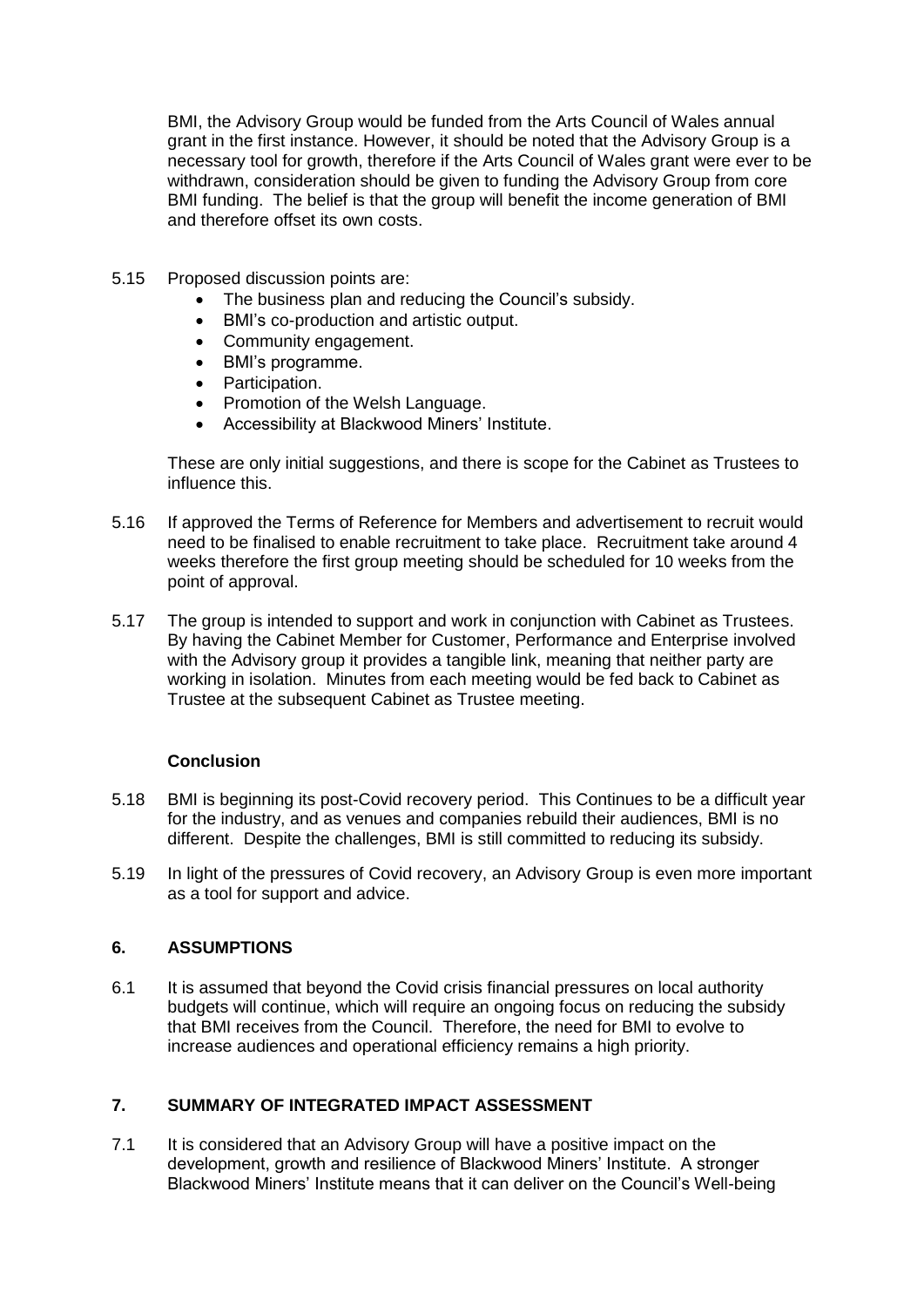BMI, the Advisory Group would be funded from the Arts Council of Wales annual grant in the first instance. However, it should be noted that the Advisory Group is a necessary tool for growth, therefore if the Arts Council of Wales grant were ever to be withdrawn, consideration should be given to funding the Advisory Group from core BMI funding. The belief is that the group will benefit the income generation of BMI and therefore offset its own costs.

- 5.15 Proposed discussion points are:
	- The business plan and reducing the Council's subsidy.
	- BMI's co-production and artistic output.
	- Community engagement.
	- BMI's programme.
	- Participation.
	- Promotion of the Welsh Language.
	- Accessibility at Blackwood Miners' Institute.

These are only initial suggestions, and there is scope for the Cabinet as Trustees to influence this.

- 5.16 If approved the Terms of Reference for Members and advertisement to recruit would need to be finalised to enable recruitment to take place. Recruitment take around 4 weeks therefore the first group meeting should be scheduled for 10 weeks from the point of approval.
- 5.17 The group is intended to support and work in conjunction with Cabinet as Trustees. By having the Cabinet Member for Customer, Performance and Enterprise involved with the Advisory group it provides a tangible link, meaning that neither party are working in isolation. Minutes from each meeting would be fed back to Cabinet as Trustee at the subsequent Cabinet as Trustee meeting.

# **Conclusion**

- 5.18 BMI is beginning its post-Covid recovery period. This Continues to be a difficult year for the industry, and as venues and companies rebuild their audiences, BMI is no different. Despite the challenges, BMI is still committed to reducing its subsidy.
- 5.19 In light of the pressures of Covid recovery, an Advisory Group is even more important as a tool for support and advice.

# **6. ASSUMPTIONS**

6.1 It is assumed that beyond the Covid crisis financial pressures on local authority budgets will continue, which will require an ongoing focus on reducing the subsidy that BMI receives from the Council. Therefore, the need for BMI to evolve to increase audiences and operational efficiency remains a high priority.

#### **7. SUMMARY OF INTEGRATED IMPACT ASSESSMENT**

7.1 It is considered that an Advisory Group will have a positive impact on the development, growth and resilience of Blackwood Miners' Institute. A stronger Blackwood Miners' Institute means that it can deliver on the Council's Well-being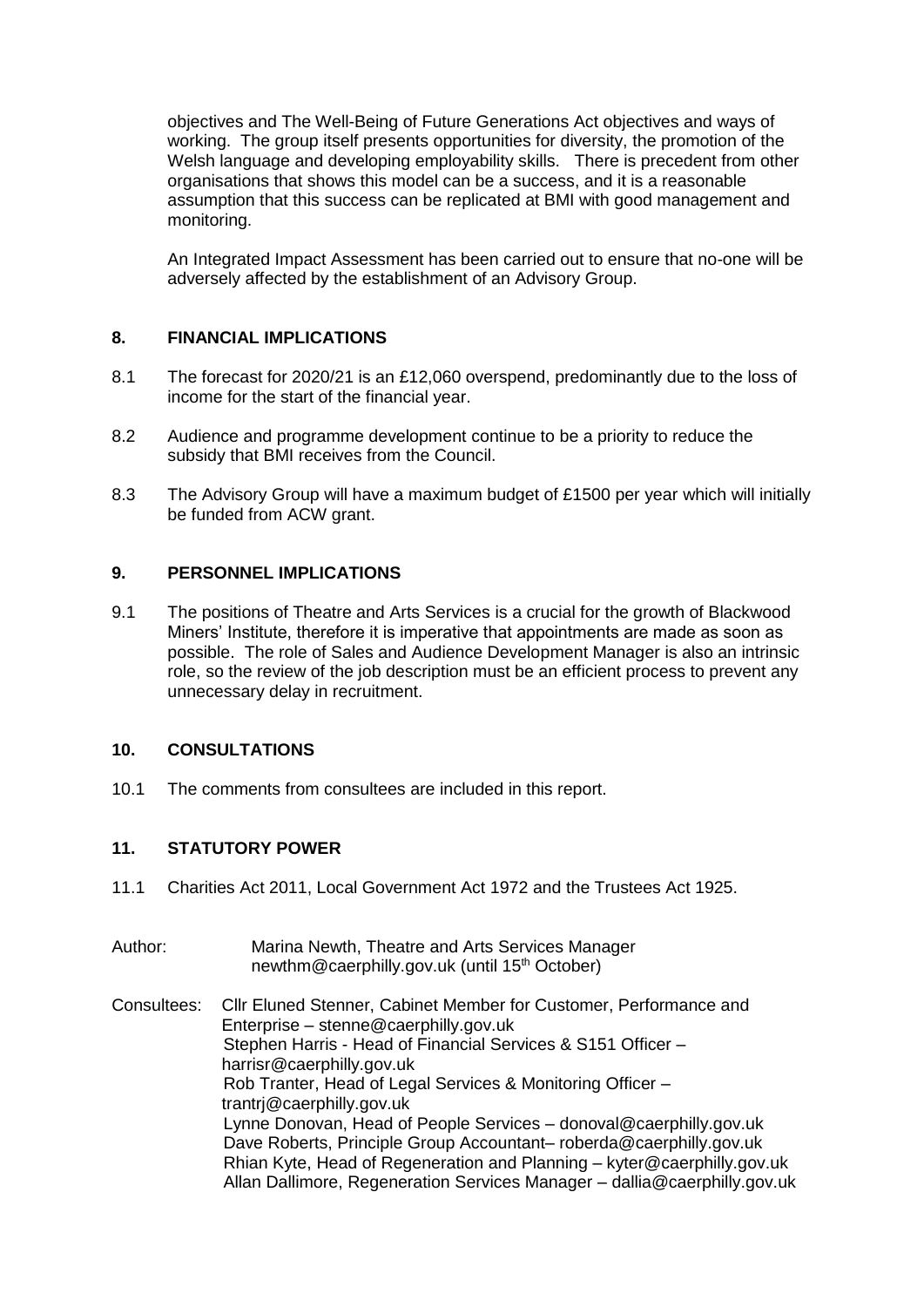objectives and The Well-Being of Future Generations Act objectives and ways of working. The group itself presents opportunities for diversity, the promotion of the Welsh language and developing employability skills. There is precedent from other organisations that shows this model can be a success, and it is a reasonable assumption that this success can be replicated at BMI with good management and monitoring.

An Integrated Impact Assessment has been carried out to ensure that no-one will be adversely affected by the establishment of an Advisory Group.

## **8. FINANCIAL IMPLICATIONS**

- 8.1 The forecast for 2020/21 is an £12,060 overspend, predominantly due to the loss of income for the start of the financial year.
- 8.2 Audience and programme development continue to be a priority to reduce the subsidy that BMI receives from the Council.
- 8.3 The Advisory Group will have a maximum budget of £1500 per year which will initially be funded from ACW grant.

#### **9. PERSONNEL IMPLICATIONS**

9.1 The positions of Theatre and Arts Services is a crucial for the growth of Blackwood Miners' Institute, therefore it is imperative that appointments are made as soon as possible. The role of Sales and Audience Development Manager is also an intrinsic role, so the review of the job description must be an efficient process to prevent any unnecessary delay in recruitment.

#### **10. CONSULTATIONS**

10.1 The comments from consultees are included in this report.

# **11. STATUTORY POWER**

11.1 Charities Act 2011, Local Government Act 1972 and the Trustees Act 1925.

| Author:     | Marina Newth, Theatre and Arts Services Manager<br>newthm@caerphilly.gov.uk (until 15 <sup>th</sup> October)                                                                                                                                                                                                                                                                                                                                                                                                                                                                                           |
|-------------|--------------------------------------------------------------------------------------------------------------------------------------------------------------------------------------------------------------------------------------------------------------------------------------------------------------------------------------------------------------------------------------------------------------------------------------------------------------------------------------------------------------------------------------------------------------------------------------------------------|
| Consultees: | Cllr Eluned Stenner, Cabinet Member for Customer, Performance and<br>Enterprise - stenne@caerphilly.gov.uk<br>Stephen Harris - Head of Financial Services & S151 Officer -<br>harrisr@caerphilly.gov.uk<br>Rob Tranter, Head of Legal Services & Monitoring Officer -<br>trantri@caerphilly.gov.uk<br>Lynne Donovan, Head of People Services - donoval@caerphilly.gov.uk<br>Dave Roberts, Principle Group Accountant-roberda@caerphilly.gov.uk<br>Rhian Kyte, Head of Regeneration and Planning - kyter@caerphilly.gov.uk<br>Allan Dallimore, Regeneration Services Manager - dallia@caerphilly.gov.uk |